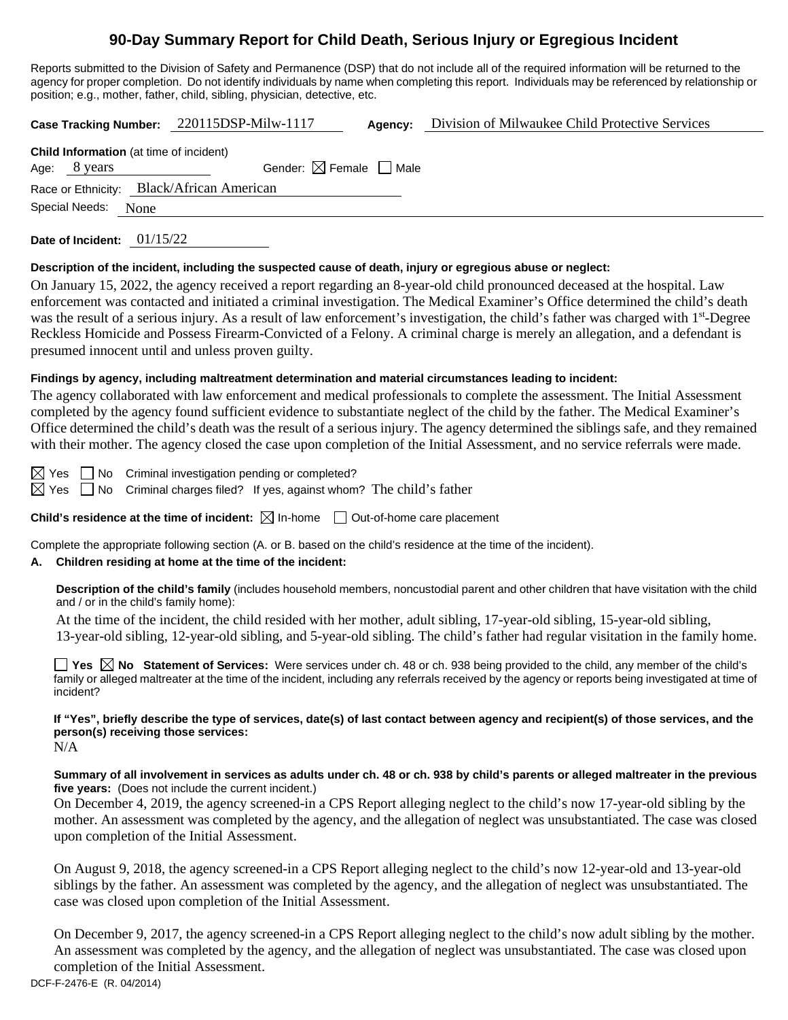# **90-Day Summary Report for Child Death, Serious Injury or Egregious Incident**

Reports submitted to the Division of Safety and Permanence (DSP) that do not include all of the required information will be returned to the agency for proper completion. Do not identify individuals by name when completing this report. Individuals may be referenced by relationship or position; e.g., mother, father, child, sibling, physician, detective, etc.

**Case Tracking Number:** 220115DSP-Milw-1117 **Agency:** Division of Milwaukee Child Protective Services

| <b>Child Information</b> (at time of incident) |              |                                        |  |  |  |  |  |
|------------------------------------------------|--------------|----------------------------------------|--|--|--|--|--|
|                                                | Age: 8 years | Gender: $\boxtimes$ Female $\Box$ Male |  |  |  |  |  |
| Race or Ethnicity: Black/African American      |              |                                        |  |  |  |  |  |
| Special Needs: None                            |              |                                        |  |  |  |  |  |

**Date of Incident:** 01/15/22

## **Description of the incident, including the suspected cause of death, injury or egregious abuse or neglect:**

On January 15, 2022, the agency received a report regarding an 8-year-old child pronounced deceased at the hospital. Law enforcement was contacted and initiated a criminal investigation. The Medical Examiner's Office determined the child's death was the result of a serious injury. As a result of law enforcement's investigation, the child's father was charged with 1<sup>st</sup>-Degree Reckless Homicide and Possess Firearm-Convicted of a Felony. A criminal charge is merely an allegation, and a defendant is presumed innocent until and unless proven guilty.

## **Findings by agency, including maltreatment determination and material circumstances leading to incident:**

The agency collaborated with law enforcement and medical professionals to complete the assessment. The Initial Assessment completed by the agency found sufficient evidence to substantiate neglect of the child by the father. The Medical Examiner's Office determined the child's death was the result of a serious injury. The agency determined the siblings safe, and they remained with their mother. The agency closed the case upon completion of the Initial Assessment, and no service referrals were made.

 $\boxtimes$  Yes  $\Box$  No Criminal investigation pending or completed?  $\boxtimes$  Yes  $\Box$  No Criminal charges filed? If yes, against whom? The child's father

**Child's residence at the time of incident:**  $\boxtimes$  In-home  $\Box$  Out-of-home care placement

Complete the appropriate following section (A. or B. based on the child's residence at the time of the incident).

# **A. Children residing at home at the time of the incident:**

**Description of the child's family** (includes household members, noncustodial parent and other children that have visitation with the child and / or in the child's family home):

At the time of the incident, the child resided with her mother, adult sibling, 17-year-old sibling, 15-year-old sibling, 13-year-old sibling, 12-year-old sibling, and 5-year-old sibling. The child's father had regular visitation in the family home.

■ Yes **No** Statement of Services: Were services under ch. 48 or ch. 938 being provided to the child, any member of the child's family or alleged maltreater at the time of the incident, including any referrals received by the agency or reports being investigated at time of incident?

**If "Yes", briefly describe the type of services, date(s) of last contact between agency and recipient(s) of those services, and the person(s) receiving those services:**  $N/A$ 

**Summary of all involvement in services as adults under ch. 48 or ch. 938 by child's parents or alleged maltreater in the previous five years:** (Does not include the current incident.)

On December 4, 2019, the agency screened-in a CPS Report alleging neglect to the child's now 17-year-old sibling by the mother. An assessment was completed by the agency, and the allegation of neglect was unsubstantiated. The case was closed upon completion of the Initial Assessment.

On August 9, 2018, the agency screened-in a CPS Report alleging neglect to the child's now 12-year-old and 13-year-old siblings by the father. An assessment was completed by the agency, and the allegation of neglect was unsubstantiated. The case was closed upon completion of the Initial Assessment.

On December 9, 2017, the agency screened-in a CPS Report alleging neglect to the child's now adult sibling by the mother. An assessment was completed by the agency, and the allegation of neglect was unsubstantiated. The case was closed upon completion of the Initial Assessment.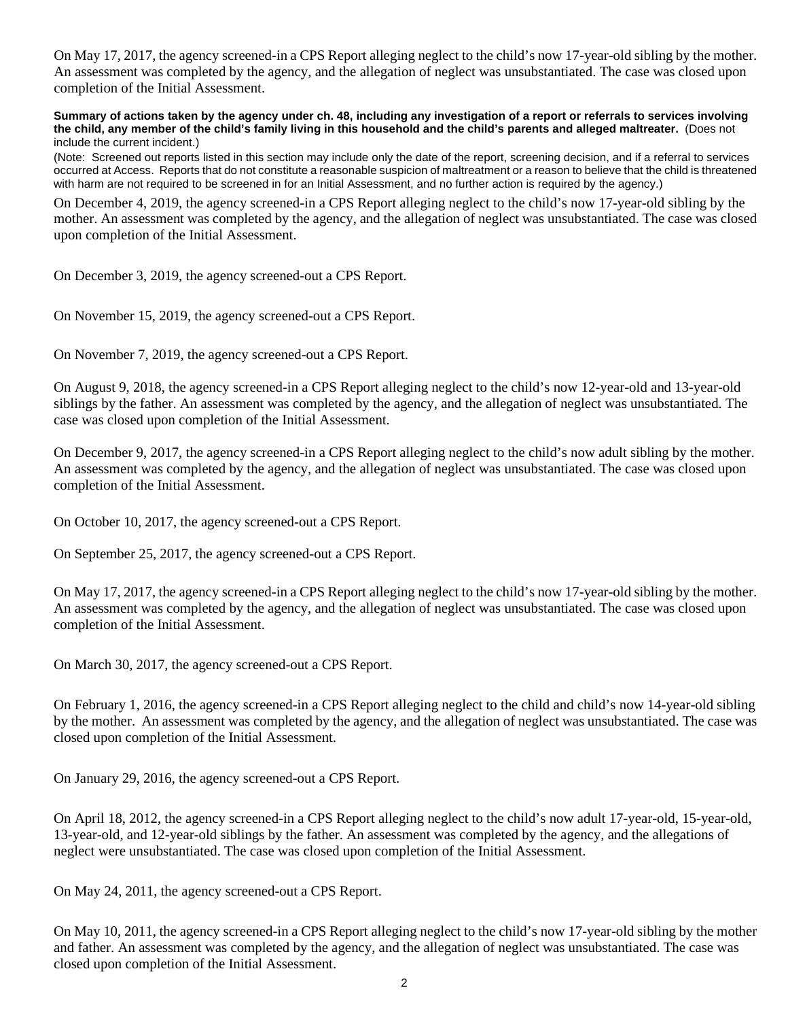On May 17, 2017, the agency screened-in a CPS Report alleging neglect to the child's now 17-year-old sibling by the mother. An assessment was completed by the agency, and the allegation of neglect was unsubstantiated. The case was closed upon completion of the Initial Assessment.

**Summary of actions taken by the agency under ch. 48, including any investigation of a report or referrals to services involving the child, any member of the child's family living in this household and the child's parents and alleged maltreater.** (Does not include the current incident.)

(Note: Screened out reports listed in this section may include only the date of the report, screening decision, and if a referral to services occurred at Access. Reports that do not constitute a reasonable suspicion of maltreatment or a reason to believe that the child is threatened with harm are not required to be screened in for an Initial Assessment, and no further action is required by the agency.)

On December 4, 2019, the agency screened-in a CPS Report alleging neglect to the child's now 17-year-old sibling by the mother. An assessment was completed by the agency, and the allegation of neglect was unsubstantiated. The case was closed upon completion of the Initial Assessment.

On December 3, 2019, the agency screened-out a CPS Report.

On November 15, 2019, the agency screened-out a CPS Report.

On November 7, 2019, the agency screened-out a CPS Report.

On August 9, 2018, the agency screened-in a CPS Report alleging neglect to the child's now 12-year-old and 13-year-old siblings by the father. An assessment was completed by the agency, and the allegation of neglect was unsubstantiated. The case was closed upon completion of the Initial Assessment.

On December 9, 2017, the agency screened-in a CPS Report alleging neglect to the child's now adult sibling by the mother. An assessment was completed by the agency, and the allegation of neglect was unsubstantiated. The case was closed upon completion of the Initial Assessment.

On October 10, 2017, the agency screened-out a CPS Report.

On September 25, 2017, the agency screened-out a CPS Report.

On May 17, 2017, the agency screened-in a CPS Report alleging neglect to the child's now 17-year-old sibling by the mother. An assessment was completed by the agency, and the allegation of neglect was unsubstantiated. The case was closed upon completion of the Initial Assessment.

On March 30, 2017, the agency screened-out a CPS Report.

On February 1, 2016, the agency screened-in a CPS Report alleging neglect to the child and child's now 14-year-old sibling by the mother. An assessment was completed by the agency, and the allegation of neglect was unsubstantiated. The case was closed upon completion of the Initial Assessment.

On January 29, 2016, the agency screened-out a CPS Report.

On April 18, 2012, the agency screened-in a CPS Report alleging neglect to the child's now adult 17-year-old, 15-year-old, 13-year-old, and 12-year-old siblings by the father. An assessment was completed by the agency, and the allegations of neglect were unsubstantiated. The case was closed upon completion of the Initial Assessment.

On May 24, 2011, the agency screened-out a CPS Report.

On May 10, 2011, the agency screened-in a CPS Report alleging neglect to the child's now 17-year-old sibling by the mother and father. An assessment was completed by the agency, and the allegation of neglect was unsubstantiated. The case was closed upon completion of the Initial Assessment.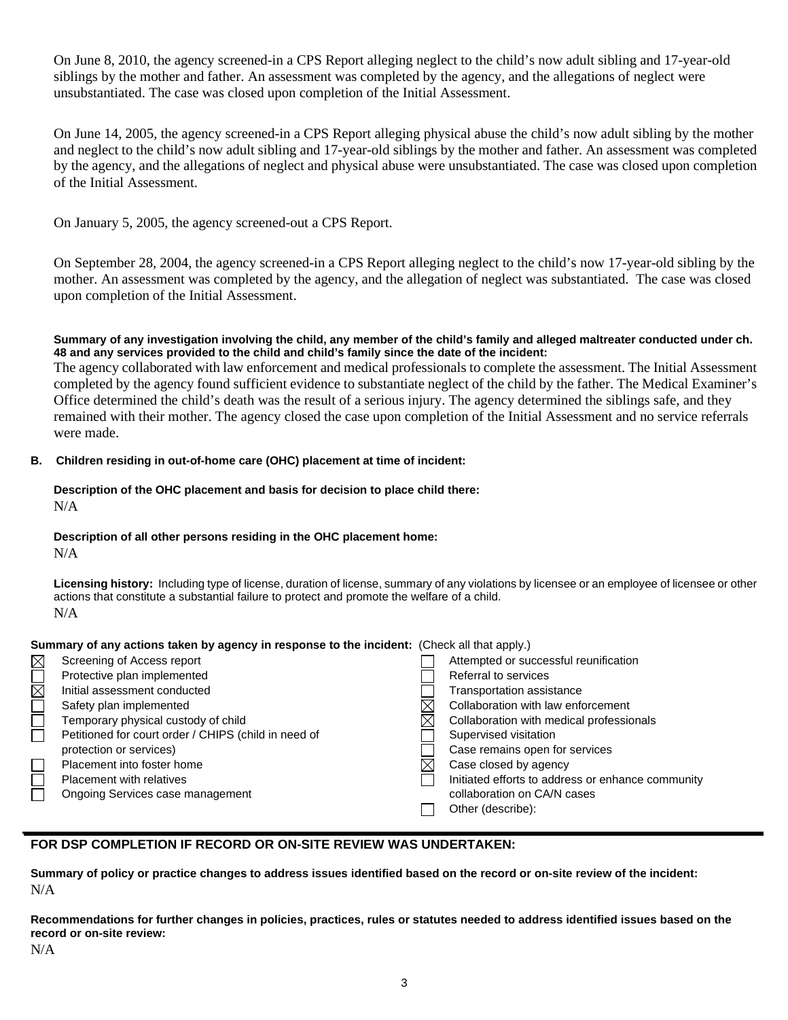On June 8, 2010, the agency screened-in a CPS Report alleging neglect to the child's now adult sibling and 17-year-old siblings by the mother and father. An assessment was completed by the agency, and the allegations of neglect were unsubstantiated. The case was closed upon completion of the Initial Assessment.

On June 14, 2005, the agency screened-in a CPS Report alleging physical abuse the child's now adult sibling by the mother and neglect to the child's now adult sibling and 17-year-old siblings by the mother and father. An assessment was completed by the agency, and the allegations of neglect and physical abuse were unsubstantiated. The case was closed upon completion of the Initial Assessment.

On January 5, 2005, the agency screened-out a CPS Report.

On September 28, 2004, the agency screened-in a CPS Report alleging neglect to the child's now 17-year-old sibling by the mother. An assessment was completed by the agency, and the allegation of neglect was substantiated. The case was closed upon completion of the Initial Assessment.

**Summary of any investigation involving the child, any member of the child's family and alleged maltreater conducted under ch. 48 and any services provided to the child and child's family since the date of the incident:**

The agency collaborated with law enforcement and medical professionals to complete the assessment. The Initial Assessment completed by the agency found sufficient evidence to substantiate neglect of the child by the father. The Medical Examiner's Office determined the child's death was the result of a serious injury. The agency determined the siblings safe, and they remained with their mother. The agency closed the case upon completion of the Initial Assessment and no service referrals were made.

## **B. Children residing in out-of-home care (OHC) placement at time of incident:**

## **Description of the OHC placement and basis for decision to place child there:** N/A

# **Description of all other persons residing in the OHC placement home:**

N/A

**Licensing history:** Including type of license, duration of license, summary of any violations by licensee or an employee of licensee or other actions that constitute a substantial failure to protect and promote the welfare of a child. N/A

| Summary of any actions taken by agency in response to the incident: (Check all that apply.) |                                                      |  |                                                   |  |  |
|---------------------------------------------------------------------------------------------|------------------------------------------------------|--|---------------------------------------------------|--|--|
| $\boxtimes$                                                                                 | Screening of Access report                           |  | Attempted or successful reunification             |  |  |
|                                                                                             | Protective plan implemented                          |  | Referral to services                              |  |  |
| $\mathbb N$                                                                                 | Initial assessment conducted                         |  | <b>Transportation assistance</b>                  |  |  |
|                                                                                             | Safety plan implemented                              |  | Collaboration with law enforcement                |  |  |
|                                                                                             | Temporary physical custody of child                  |  | Collaboration with medical professionals          |  |  |
|                                                                                             | Petitioned for court order / CHIPS (child in need of |  | Supervised visitation                             |  |  |
|                                                                                             | protection or services)                              |  | Case remains open for services                    |  |  |
|                                                                                             | Placement into foster home                           |  | Case closed by agency                             |  |  |
|                                                                                             | <b>Placement with relatives</b>                      |  | Initiated efforts to address or enhance community |  |  |
|                                                                                             | Ongoing Services case management                     |  | collaboration on CA/N cases                       |  |  |
|                                                                                             |                                                      |  | Other (describe):                                 |  |  |

# **FOR DSP COMPLETION IF RECORD OR ON-SITE REVIEW WAS UNDERTAKEN:**

**Summary of policy or practice changes to address issues identified based on the record or on-site review of the incident:** N/A

**Recommendations for further changes in policies, practices, rules or statutes needed to address identified issues based on the record or on-site review:**

N/A